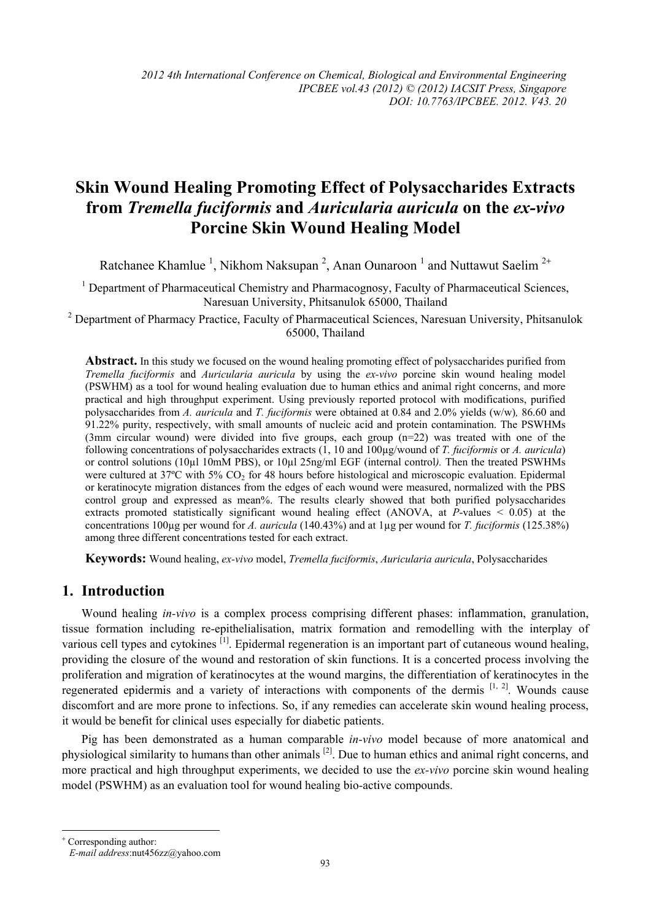# **Skin Wound Healing Promoting Effect of Polysaccharides Extracts from** *Tremella fuciformis* **and** *Auricularia auricula* **on the** *ex-vivo* **Porcine Skin Wound Healing Model**

Ratchanee Khamlue<sup>1</sup>, Nikhom Naksupan<sup>2</sup>, Anan Ounaroon<sup>1</sup> and Nuttawut Saelim<sup>2+</sup>

<sup>1</sup> Department of Pharmaceutical Chemistry and Pharmacognosy, Faculty of Pharmaceutical Sciences, Naresuan University, Phitsanulok 65000, Thailand

<sup>2</sup> Department of Pharmacy Practice, Faculty of Pharmaceutical Sciences, Naresuan University, Phitsanulok 65000, Thailand

**Abstract.** In this study we focused on the wound healing promoting effect of polysaccharides purified from *Tremella fuciformis* and *Auricularia auricula* by using the *ex-vivo* porcine skin wound healing model (PSWHM) as a tool for wound healing evaluation due to human ethics and animal right concerns, and more practical and high throughput experiment. Using previously reported protocol with modifications, purified polysaccharides from *A. auricula* and *T. fuciformis* were obtained at 0.84 and 2.0% yields (w/w)*,* 86.60 and 91.22% purity, respectively, with small amounts of nucleic acid and protein contamination. The PSWHMs (3mm circular wound) were divided into five groups, each group (n=22) was treated with one of the following concentrations of polysaccharides extracts (1, 10 and 100µg/wound of *T. fuciformis* or *A. auricula*) or control solutions (10µl 10mM PBS), or 10µl 25ng/ml EGF (internal control*).* Then the treated PSWHMs were cultured at 37°C with 5% CO<sub>2</sub> for 48 hours before histological and microscopic evaluation. Epidermal or keratinocyte migration distances from the edges of each wound were measured, normalized with the PBS control group and expressed as mean%. The results clearly showed that both purified polysaccharides extracts promoted statistically significant wound healing effect (ANOVA, at *P*-values < 0.05) at the concentrations 100µg per wound for *A. auricula* (140.43%) and at 1µg per wound for *T. fuciformis* (125.38%) among three different concentrations tested for each extract.

**Keywords:** Wound healing, *ex-vivo* model, *Tremella fuciformis*, *Auricularia auricula*, Polysaccharides

## **1. Introduction**

Wound healing *in-vivo* is a complex process comprising different phases: inflammation, granulation, tissue formation including re-epithelialisation, matrix formation and remodelling with the interplay of various cell types and cytokines <sup>[1]</sup>. Epidermal regeneration is an important part of cutaneous wound healing, providing the closure of the wound and restoration of skin functions. It is a concerted process involving the proliferation and migration of keratinocytes at the wound margins, the differentiation of keratinocytes in the regenerated epidermis and a variety of interactions with components of the dermis  $[1, 2]$ . Wounds cause discomfort and are more prone to infections. So, if any remedies can accelerate skin wound healing process, it would be benefit for clinical uses especially for diabetic patients.

Pig has been demonstrated as a human comparable *in-vivo* model because of more anatomical and physiological similarity to humansthan other animals [2]. Due to human ethics and animal right concerns, and more practical and high throughput experiments, we decided to use the *ex-vivo* porcine skin wound healing model (PSWHM) as an evaluation tool for wound healing bio-active compounds.

 $\overline{\phantom{a}}$ + Corresponding author: *E-mail address*:nut456zz@yahoo.com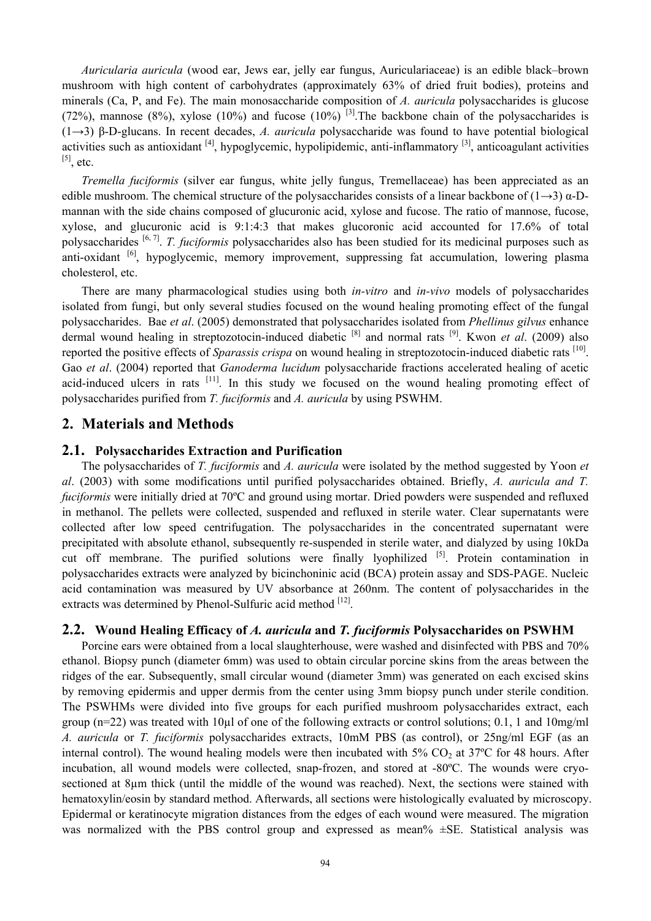*Auricularia auricula* (wood ear, Jews ear, jelly ear fungus, Auriculariaceae) is an edible black–brown mushroom with high content of carbohydrates (approximately 63% of dried fruit bodies), proteins and minerals (Ca, P, and Fe). The main monosaccharide composition of *A. auricula* polysaccharides is glucose (72%), mannose (8%), xylose (10%) and fucose (10%) <sup>[3]</sup>. The backbone chain of the polysaccharides is (1→3) β-D-glucans. In recent decades, *A. auricula* polysaccharide was found to have potential biological activities such as antioxidant  $[4]$ , hypoglycemic, hypolipidemic, anti-inflammatory  $[3]$ , anticoagulant activities  $[5]$ , etc.

*Tremella fuciformis* (silver ear fungus, white jelly fungus, Tremellaceae) has been appreciated as an edible mushroom. The chemical structure of the polysaccharides consists of a linear backbone of (1→3)  $\alpha$ -Dmannan with the side chains composed of glucuronic acid, xylose and fucose. The ratio of mannose, fucose, xylose, and glucuronic acid is 9:1:4:3 that makes glucoronic acid accounted for 17.6% of total polysaccharides [6, 7]. *T. fuciformis* polysaccharides also has been studied for its medicinal purposes such as anti-oxidant <sup>[6]</sup>, hypoglycemic, memory improvement, suppressing fat accumulation, lowering plasma cholesterol, etc.

There are many pharmacological studies using both *in-vitro* and *in-vivo* models of polysaccharides isolated from fungi, but only several studies focused on the wound healing promoting effect of the fungal polysaccharides. Bae *et al*. (2005) demonstrated that polysaccharides isolated from *Phellinus gilvus* enhance dermal wound healing in streptozotocin-induced diabetic [8] and normal rats [9]. Kwon *et al*. (2009) also reported the positive effects of *Sparassis crispa* on wound healing in streptozotocin-induced diabetic rats [10]. Gao *et al*. (2004) reported that *Ganoderma lucidum* polysaccharide fractions accelerated healing of acetic acid-induced ulcers in rats <sup>[11]</sup>. In this study we focused on the wound healing promoting effect of polysaccharides purified from *T. fuciformis* and *A. auricula* by using PSWHM.

## **2. Materials and Methods**

#### **2.1. Polysaccharides Extraction and Purification**

The polysaccharides of *T. fuciformis* and *A. auricula* were isolated by the method suggested by Yoon *et al*. (2003) with some modifications until purified polysaccharides obtained. Briefly, *A. auricula and T. fuciformis* were initially dried at 70ºC and ground using mortar. Dried powders were suspended and refluxed in methanol. The pellets were collected, suspended and refluxed in sterile water. Clear supernatants were collected after low speed centrifugation. The polysaccharides in the concentrated supernatant were precipitated with absolute ethanol, subsequently re-suspended in sterile water, and dialyzed by using 10kDa cut off membrane. The purified solutions were finally lyophilized <sup>[5]</sup>. Protein contamination in polysaccharides extracts were analyzed by bicinchoninic acid (BCA) protein assay and SDS-PAGE. Nucleic acid contamination was measured by UV absorbance at 260nm. The content of polysaccharides in the extracts was determined by Phenol-Sulfuric acid method [12].

## **2.2. Wound Healing Efficacy of** *A. auricula* **and** *T. fuciformis* **Polysaccharides on PSWHM**

Porcine ears were obtained from a local slaughterhouse, were washed and disinfected with PBS and 70% ethanol. Biopsy punch (diameter 6mm) was used to obtain circular porcine skins from the areas between the ridges of the ear. Subsequently, small circular wound (diameter 3mm) was generated on each excised skins by removing epidermis and upper dermis from the center using 3mm biopsy punch under sterile condition. The PSWHMs were divided into five groups for each purified mushroom polysaccharides extract, each group ( $n=22$ ) was treated with 10 $\mu$ l of one of the following extracts or control solutions; 0.1, 1 and 10mg/ml *A. auricula* or *T. fuciformis* polysaccharides extracts, 10mM PBS (as control), or 25ng/ml EGF (as an internal control). The wound healing models were then incubated with  $5\%$  CO<sub>2</sub> at  $37^{\circ}$ C for 48 hours. After incubation, all wound models were collected, snap-frozen, and stored at -80ºC. The wounds were cryosectioned at 8µm thick (until the middle of the wound was reached). Next, the sections were stained with hematoxylin/eosin by standard method. Afterwards, all sections were histologically evaluated by microscopy. Epidermal or keratinocyte migration distances from the edges of each wound were measured. The migration was normalized with the PBS control group and expressed as mean%  $\pm$ SE. Statistical analysis was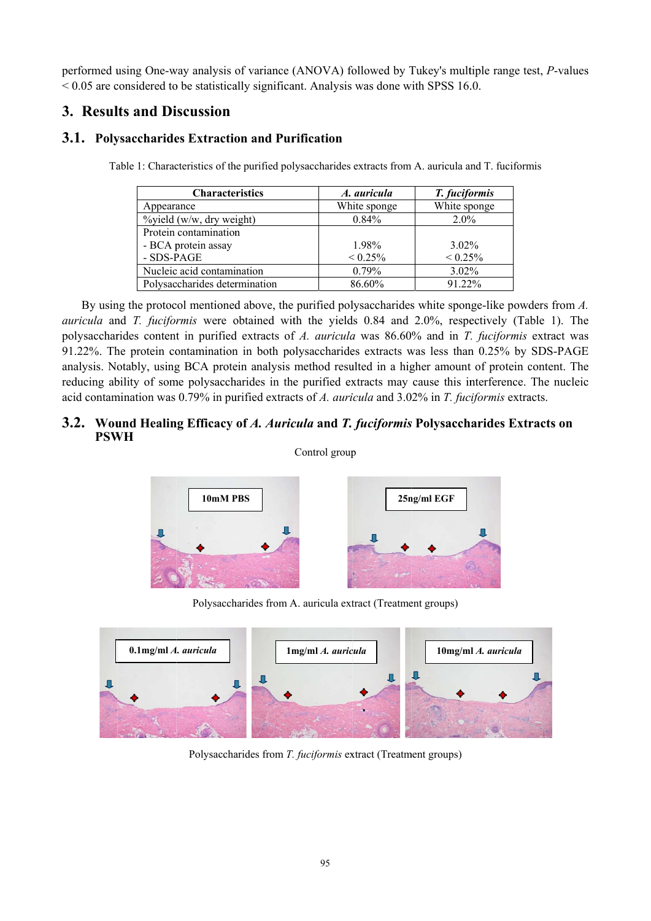performed using One-way analysis of variance (ANOVA) followed by Tukey's multiple range test, P-values  $\leq$  0.05 are considered to be statistically significant. Analysis was done with SPSS 16.0.

## 3. Results and Discussion

## 3.1. Polysaccharides Extraction and Purification

| <b>Characteristics</b>                                  | A. auricula  | T. fuciformis |
|---------------------------------------------------------|--------------|---------------|
| $\Lambda$ mp $\Lambda$ $\Lambda$ mp $\Lambda$ $\Lambda$ | $Wkin$ $mon$ | $Wkin$ $mana$ |

Table 1: Characteristics of the purified polysaccharides extracts from A. auricula and T. fuciformis

| Characteristics               | A. auricula  | <i>T. fuciformis</i> |
|-------------------------------|--------------|----------------------|
| Appearance                    | White sponge | White sponge         |
| $\%$ yield (w/w, dry weight)  | 0.84%        | $2.0\%$              |
| Protein contamination         |              |                      |
| - BCA protein assay           | 1.98%        | $3.02\%$             |
| - SDS-PAGE                    | $< 0.25\%$   | $< 0.25\%$           |
| Nucleic acid contamination    | $0.79\%$     | $3.02\%$             |
| Polysaccharides determination | 86.60%       | 91.22%               |

By using the protocol mentioned above, the purified polysaccharides white sponge-like powders from  $A$ . auricula and T. fuciformis were obtained with the yields 0.84 and 2.0%, respectively (Table 1). The polysaccharides content in purified extracts of A. auricula was 86.60% and in T. fuciformis extract was 91.22%. The protein contamination in both polysaccharides extracts was less than 0.25% by SDS-PAGE analysis. Notably, using BCA protein analysis method resulted in a higher amount of protein content. The reducing ability of some polysaccharides in the purified extracts may cause this interference. The nucleic acid contamination was 0.79% in purified extracts of A. auricula and 3.02% in T. fuciformis extracts.

## 3.2. Wound Healing Efficacy of A. Auricula and T. fuciformis Polysaccharides Extracts on **PSWH**

Control group



Polysaccharides from A. auricula extract (Treatment groups)



Polysaccharides from T. fuciformis extract (Treatment groups)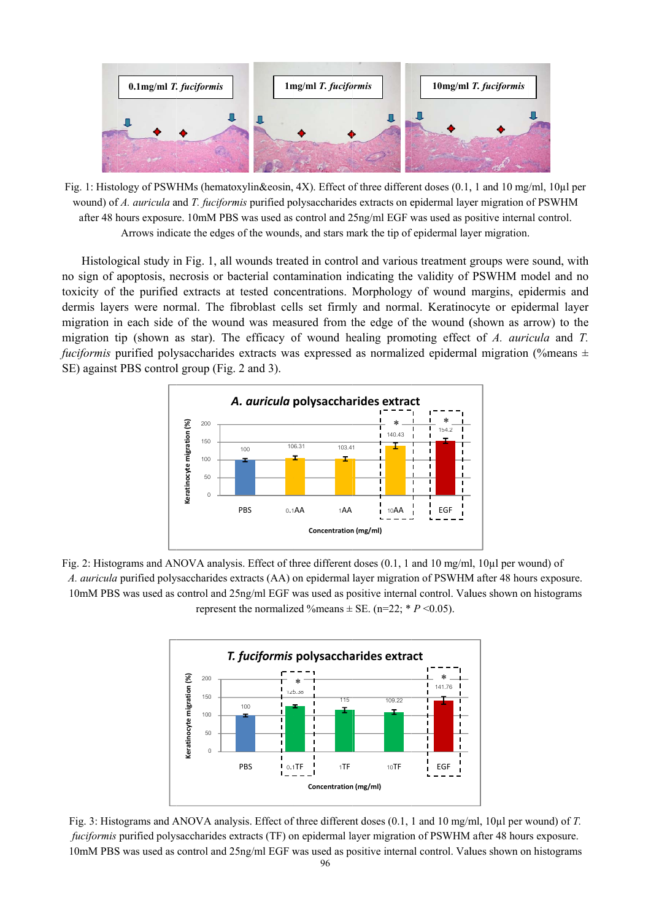

Fig. 1: Histology of PSWHMs (hematoxylin&eosin, 4X). Effect of three different doses (0.1, 1 and 10 mg/ml, 10µl per wound) of *A. auricula* and *T. fuciformis* purified polysaccharides extracts on epidermal layer migration of PSWHM after 48 hours exposure. 10mM PBS was used as control and 25ng/ml EGF was used as positive internal control. Arrows indicate the edges of the wounds, and stars mark the tip of epidermal layer migration.

Arrows indicate the edges of the wounds, and stars mark the tip of epidermal layer migration.<br>Histological study in Fig. 1, all wounds treated in control and various treatment groups were sound, with no sign of apoptosis, necrosis or bacterial contamination indicating the validity of PSWHM model and no toxicity of the purified extracts at tested concentrations. Morphology of wound margins, epidermis and dermis layers were normal. The fibroblast cells set firmly and normal. Keratinocyte or epidermal layer migration in each side of the wound was measured from the edge of the wound (shown as arrow) to the migration tip (shown as star). The efficacy of wound healing promoting effect of A. auricula and T. *fuciformis* purified polysaccharides extracts was expressed as normalized epidermal migration (%means ± SE) against PBS control group (Fig. 2 and 3). hod<br>d<br>er



Fig. 2: Histograms and ANOVA analysis. Effect of three different doses (0.1, 1 and 10 mg/ml, 10µl per wound) of A. *auricula* purified polysaccharides extracts (AA) on epidermal layer migration of PSWHM after 48 hours exposure. 10mM PBS was used as control and 25ng/ml EGF was used as positive internal control. Values shown on histograms represent the normalized %means  $\pm$  SE. (n=22;  $* P \le 0.05$ ).



Fig. 3: Histograms and ANOVA analysis. Effect of three different doses (0.1, 1 and 10 mg/ml, 10µl per wound) of *T*. fuciformis purified polysaccharides extracts (TF) on epidermal layer migration of PSWHM after 48 hours exposure. 10mM PBS was used as control and 25ng/ml EGF was used as positive internal control. Values shown on histograms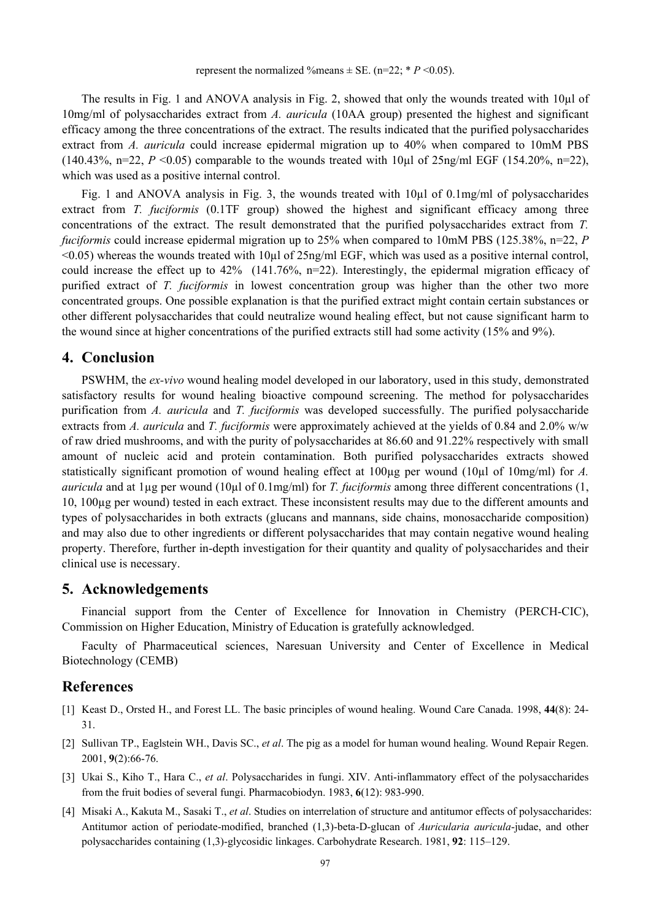The results in Fig. 1 and ANOVA analysis in Fig. 2, showed that only the wounds treated with 10µl of 10mg/ml of polysaccharides extract from *A. auricula* (10AA group) presented the highest and significant efficacy among the three concentrations of the extract. The results indicated that the purified polysaccharides extract from *A. auricula* could increase epidermal migration up to 40% when compared to 10mM PBS (140.43%, n=22,  $P \le 0.05$ ) comparable to the wounds treated with 10 $\mu$ l of 25ng/ml EGF (154.20%, n=22), which was used as a positive internal control.

Fig. 1 and ANOVA analysis in Fig. 3, the wounds treated with 10µl of 0.1mg/ml of polysaccharides extract from *T. fuciformis* (0.1TF group) showed the highest and significant efficacy among three concentrations of the extract. The result demonstrated that the purified polysaccharides extract from *T. fuciformis* could increase epidermal migration up to 25% when compared to 10mM PBS (125.38%, n=22, *P*  $\leq$ 0.05) whereas the wounds treated with 10 $\mu$ l of 25ng/ml EGF, which was used as a positive internal control, could increase the effect up to 42% (141.76%, n=22). Interestingly, the epidermal migration efficacy of purified extract of *T. fuciformis* in lowest concentration group was higher than the other two more concentrated groups. One possible explanation is that the purified extract might contain certain substances or other different polysaccharides that could neutralize wound healing effect, but not cause significant harm to the wound since at higher concentrations of the purified extracts still had some activity (15% and 9%).

#### **4. Conclusion**

PSWHM, the *ex-vivo* wound healing model developed in our laboratory, used in this study, demonstrated satisfactory results for wound healing bioactive compound screening. The method for polysaccharides purification from *A. auricula* and *T. fuciformis* was developed successfully. The purified polysaccharide extracts from *A. auricula* and *T. fuciformis* were approximately achieved at the yields of 0.84 and 2.0% w/w of raw dried mushrooms, and with the purity of polysaccharides at 86.60 and 91.22% respectively with small amount of nucleic acid and protein contamination. Both purified polysaccharides extracts showed statistically significant promotion of wound healing effect at 100µg per wound (10µl of 10mg/ml) for *A*. *auricula* and at 1µg per wound (10µl of 0.1mg/ml) for *T. fuciformis* among three different concentrations (1, 10, 100µg per wound) tested in each extract. These inconsistent results may due to the different amounts and types of polysaccharides in both extracts (glucans and mannans, side chains, monosaccharide composition) and may also due to other ingredients or different polysaccharides that may contain negative wound healing property. Therefore, further in-depth investigation for their quantity and quality of polysaccharides and their clinical use is necessary.

#### **5. Acknowledgements**

Financial support from the Center of Excellence for Innovation in Chemistry (PERCH-CIC), Commission on Higher Education, Ministry of Education is gratefully acknowledged.

Faculty of Pharmaceutical sciences, Naresuan University and Center of Excellence in Medical Biotechnology (CEMB)

#### **References**

- [1] Keast D., Orsted H., and Forest LL. The basic principles of wound healing. Wound Care Canada. 1998, **44**(8): 24- 31.
- [2] Sullivan TP., Eaglstein WH., Davis SC., *et al*. The pig as a model for human wound healing. Wound Repair Regen. 2001, **9**(2):66-76.
- [3] Ukai S., Kiho T., Hara C., *et al*. Polysaccharides in fungi. XIV. Anti-inflammatory effect of the polysaccharides from the fruit bodies of several fungi. Pharmacobiodyn. 1983, **6**(12): 983-990.
- [4] Misaki A., Kakuta M., Sasaki T., *et al*. Studies on interrelation of structure and antitumor effects of polysaccharides: Antitumor action of periodate-modified, branched (1,3)-beta-D-glucan of *Auricularia auricula*-judae, and other polysaccharides containing (1,3)-glycosidic linkages. Carbohydrate Research. 1981, **92**: 115–129.